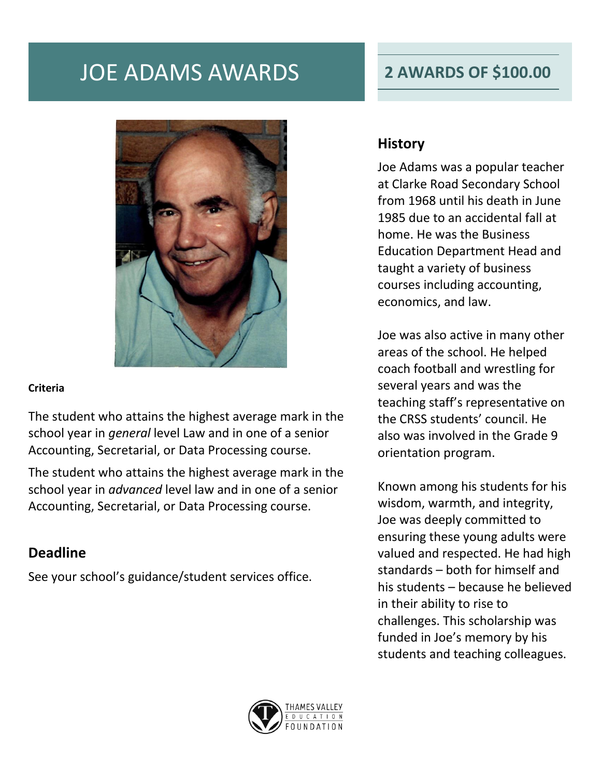# JOE ADAMS AWARDS **2 AWARDS OF \$100.00**

### **Criteria**

The student who attains the highest average mark in the school year in *general* level Law and in one of a senior Accounting, Secretarial, or Data Processing course.

The student who attains the highest average mark in the school year in *advanced* level law and in one of a senior Accounting, Secretarial, or Data Processing course.

### **Deadline**

See your school's guidance/student services office.

## **History**

Joe Adams was a popular teacher at Clarke Road Secondary School from 1968 until his death in June 1985 due to an accidental fall at home. He was the Business Education Department Head and taught a variety of business courses including accounting, economics, and law.

Joe was also active in many other areas of the school. He helped coach football and wrestling for several years and was the teaching staff's representative on the CRSS students' council. He also was involved in the Grade 9 orientation program.

Known among his students for his wisdom, warmth, and integrity, Joe was deeply committed to ensuring these young adults were valued and respected. He had high standards – both for himself and his students – because he believed in their ability to rise to challenges. This scholarship was funded in Joe's memory by his students and teaching colleagues.